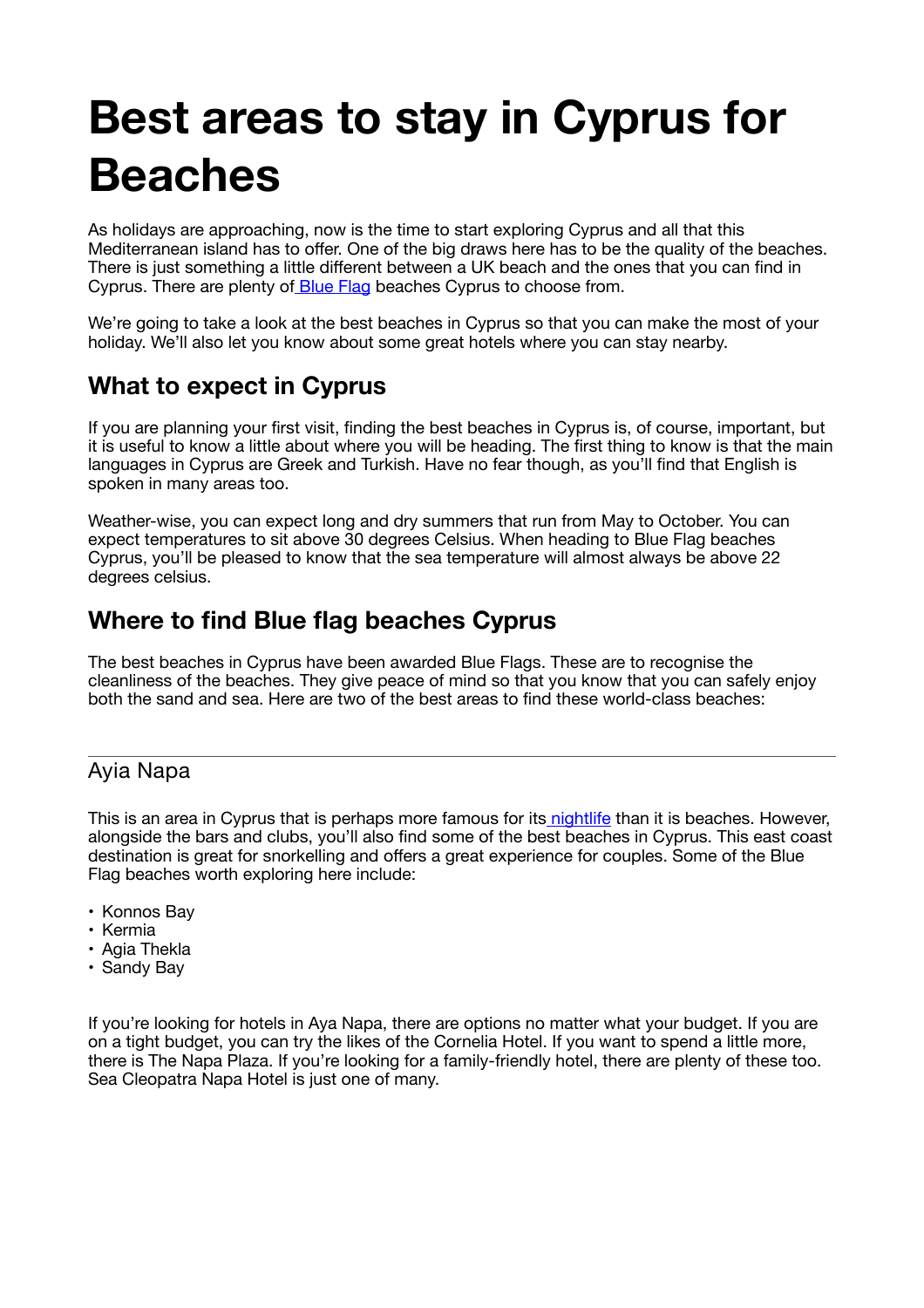# **Best areas to stay in Cyprus for Beaches**

As holidays are approaching, now is the time to start exploring Cyprus and all that this Mediterranean island has to offer. One of the big draws here has to be the quality of the beaches. There is just something a little different between a UK beach and the ones that you can find in Cyprus. There are plenty of Blue Flag beaches Cyprus to choose from.

We're going to take a look at the best beaches in Cyprus so that you can make the most of your holiday. We'll also let you know about some great hotels where you can stay nearby.

# **What to expect in Cyprus**

If you are planning your first visit, finding the best beaches in Cyprus is, of course, important, but it is useful to know a little about where you will be heading. The first thing to know is that the main languages in Cyprus are Greek and Turkish. Have no fear though, as you'll find that English is spoken in many areas too.

Weather-wise, you can expect long and dry summers that run from May to October. You can expect temperatures to sit above 30 degrees Celsius. When heading to Blue Flag beaches Cyprus, you'll be pleased to know that the sea temperature will almost always be above 22 degrees celsius.

# **Where to find Blue flag beaches Cyprus**

The best beaches in Cyprus have been awarded Blue Flags. These are to recognise the cleanliness of the beaches. They give peace of mind so that you know that you can safely enjoy both the sand and sea. Here are two of the best areas to find these world-class beaches:

## Ayia Napa

This is an area in Cyprus that is perhaps more famous for its nightlife than it is beaches. However, alongside the bars and clubs, you'll also find some of the best beaches in Cyprus. This east coast destination is great for snorkelling and offers a great experience for couples. Some of the Blue Flag beaches worth exploring here include:

- Konnos Bay
- Kermia
- Agia Thekla
- Sandy Bay

If you're looking for hotels in Aya Napa, there are options no matter what your budget. If you are on a tight budget, you can try the likes of the Cornelia Hotel. If you want to spend a little more, there is The Napa Plaza. If you're looking for a family-friendly hotel, there are plenty of these too. Sea Cleopatra Napa Hotel is just one of many.